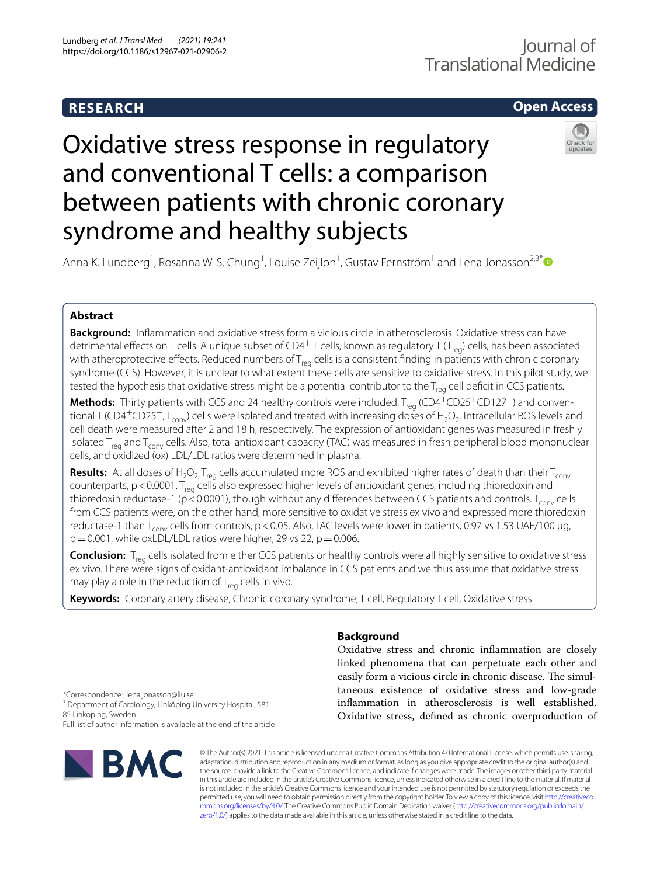## **RESEARCH**

## **Open Access**

# Oxidative stress response in regulatory and conventional T cells: a comparison between patients with chronic coronary syndrome and healthy subjects



Anna K. Lundberg<sup>1</sup>, Rosanna W. S. Chung<sup>1</sup>, Louise Zeijlon<sup>1</sup>, Gustav Fernström<sup>1</sup> and Lena Jonasson<sup>2,3[\\*](http://orcid.org/0000-0002-0586-6618)</sup>

## **Abstract**

**Background:** Infammation and oxidative stress form a vicious circle in atherosclerosis. Oxidative stress can have detrimental effects on T cells. A unique subset of CD4<sup>+</sup>T cells, known as regulatory T (T<sub>reg</sub>) cells, has been associated with atheroprotective effects. Reduced numbers of  $T_{\text{rea}}$  cells is a consistent finding in patients with chronic coronary syndrome (CCS). However, it is unclear to what extent these cells are sensitive to oxidative stress. In this pilot study, we tested the hypothesis that oxidative stress might be a potential contributor to the  $T_{req}$  cell deficit in CCS patients.

Methods: Thirty patients with CCS and 24 healthy controls were included. T<sub>req</sub> (CD4<sup>+</sup>CD25<sup>+</sup>CD127<sup>-</sup>) and conventional T (CD4<sup>+</sup>CD25<sup>-</sup>, T<sub>conv</sub>) cells were isolated and treated with increasing doses of H<sub>2</sub>O<sub>2</sub>. Intracellular ROS levels and cell death were measured after 2 and 18 h, respectively. The expression of antioxidant genes was measured in freshly isolated  $T_{\text{rea}}$  and  $T_{\text{conv}}$  cells. Also, total antioxidant capacity (TAC) was measured in fresh peripheral blood mononuclear cells, and oxidized (ox) LDL/LDL ratios were determined in plasma.

**Results:** At all doses of H<sub>2</sub>O<sub>2,</sub> T<sub>reg</sub> cells accumulated more ROS and exhibited higher rates of death than their T<sub>conv</sub> counterparts,  $p < 0.0001$ . T<sub>reg</sub> cells also expressed higher levels of antioxidant genes, including thioredoxin and thioredoxin reductase-1 ( $p \le 0.0001$ ), though without any differences between CCS patients and controls. T<sub>conv</sub> cells from CCS patients were, on the other hand, more sensitive to oxidative stress ex vivo and expressed more thioredoxin reductase-1 than  $T_{conv}$  cells from controls, p < 0.05. Also, TAC levels were lower in patients, 0.97 vs 1.53 UAE/100 µg,  $p=0.001$ , while oxLDL/LDL ratios were higher, 29 vs 22,  $p=0.006$ .

**Conclusion:** T<sub>reg</sub> cells isolated from either CCS patients or healthy controls were all highly sensitive to oxidative stress ex vivo. There were signs of oxidant-antioxidant imbalance in CCS patients and we thus assume that oxidative stress may play a role in the reduction of  $T_{\text{rea}}$  cells in vivo.

**Keywords:** Coronary artery disease, Chronic coronary syndrome, T cell, Regulatory T cell, Oxidative stress

## **Background**

Oxidative stress and chronic infammation are closely linked phenomena that can perpetuate each other and easily form a vicious circle in chronic disease. The simultaneous existence of oxidative stress and low-grade infammation in atherosclerosis is well established. Oxidative stress, defned as chronic overproduction of

\*Correspondence: lena.jonasson@liu.se

<sup>3</sup> Department of Cardiology, Linköping University Hospital, 581 85 Linköping, Sweden

Full list of author information is available at the end of the article



© The Author(s) 2021. This article is licensed under a Creative Commons Attribution 4.0 International License, which permits use, sharing, adaptation, distribution and reproduction in any medium or format, as long as you give appropriate credit to the original author(s) and the source, provide a link to the Creative Commons licence, and indicate if changes were made. The images or other third party material in this article are included in the article's Creative Commons licence, unless indicated otherwise in a credit line to the material. If material is not included in the article's Creative Commons licence and your intended use is not permitted by statutory regulation or exceeds the permitted use, you will need to obtain permission directly from the copyright holder. To view a copy of this licence, visit [http://creativeco](http://creativecommons.org/licenses/by/4.0/) [mmons.org/licenses/by/4.0/.](http://creativecommons.org/licenses/by/4.0/) The Creative Commons Public Domain Dedication waiver ([http://creativecommons.org/publicdomain/](http://creativecommons.org/publicdomain/zero/1.0/) [zero/1.0/\)](http://creativecommons.org/publicdomain/zero/1.0/) applies to the data made available in this article, unless otherwise stated in a credit line to the data.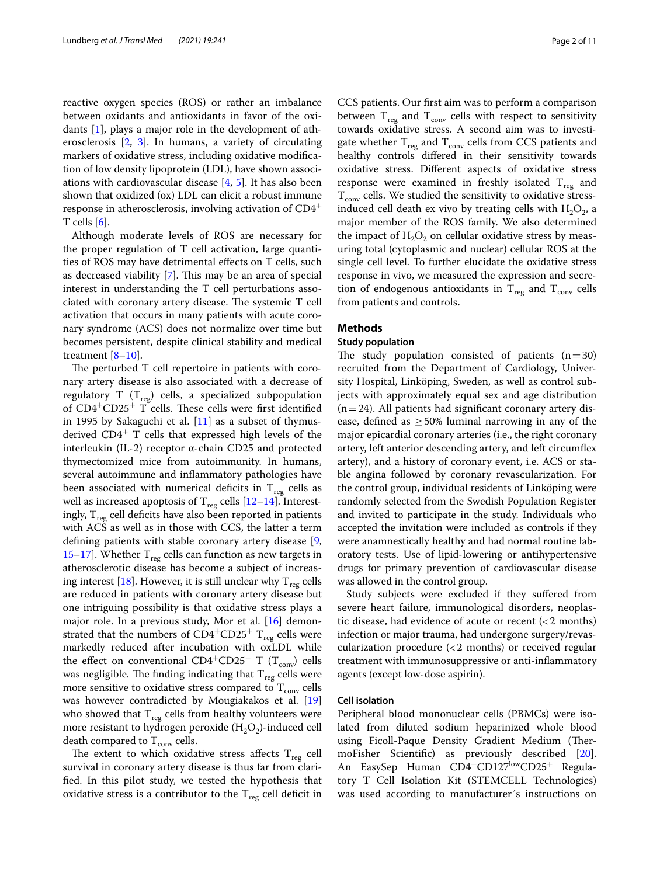reactive oxygen species (ROS) or rather an imbalance between oxidants and antioxidants in favor of the oxidants [[1\]](#page-9-0), plays a major role in the development of atherosclerosis [\[2](#page-9-1), [3](#page-9-2)]. In humans, a variety of circulating markers of oxidative stress, including oxidative modifcation of low density lipoprotein (LDL), have shown associations with cardiovascular disease [[4,](#page-9-3) [5\]](#page-9-4). It has also been shown that oxidized (ox) LDL can elicit a robust immune response in atherosclerosis, involving activation of CD4<sup>+</sup> T cells  $[6]$  $[6]$ .

Although moderate levels of ROS are necessary for the proper regulation of T cell activation, large quantities of ROS may have detrimental efects on T cells, such as decreased viability  $[7]$  $[7]$ . This may be an area of special interest in understanding the T cell perturbations associated with coronary artery disease. The systemic  $T$  cell activation that occurs in many patients with acute coronary syndrome (ACS) does not normalize over time but becomes persistent, despite clinical stability and medical treatment [[8–](#page-9-7)[10](#page-9-8)].

The perturbed T cell repertoire in patients with coronary artery disease is also associated with a decrease of regulatory T  $(T_{reg})$  cells, a specialized subpopulation of  $CD4+CD25+T$  cells. These cells were first identified in 1995 by Sakaguchi et al.  $[11]$  as a subset of thymusderived  $CD4^+$  T cells that expressed high levels of the interleukin (IL-2) receptor α-chain CD25 and protected thymectomized mice from autoimmunity. In humans, several autoimmune and infammatory pathologies have been associated with numerical deficits in  $T_{reg}$  cells as well as increased apoptosis of  $T_{reg}$  cells [\[12–](#page-9-10)[14\]](#page-9-11). Interestingly,  $T_{reg}$  cell deficits have also been reported in patients with ACS as well as in those with CCS, the latter a term defning patients with stable coronary artery disease [\[9](#page-9-12), [15–](#page-9-13)[17](#page-9-14)]. Whether  $T_{reg}$  cells can function as new targets in atherosclerotic disease has become a subject of increas-ing interest [[18\]](#page-9-15). However, it is still unclear why  $T_{res}$  cells are reduced in patients with coronary artery disease but one intriguing possibility is that oxidative stress plays a major role. In a previous study, Mor et al. [[16\]](#page-9-16) demonstrated that the numbers of  $CD4^+CD25^+$  T<sub>reg</sub> cells were markedly reduced after incubation with oxLDL while the effect on conventional CD4<sup>+</sup>CD25<sup>-</sup> T (T<sub>conv</sub>) cells was negligible. The finding indicating that  $T_{reg}$  cells were more sensitive to oxidative stress compared to  $T_{\text{conv}}$  cells was however contradicted by Mougiakakos et al. [[19](#page-9-17)] who showed that  $T_{\text{res}}$  cells from healthy volunteers were more resistant to hydrogen peroxide  $(H_2O_2)$ -induced cell death compared to  $T_{\text{conv}}$  cells.

The extent to which oxidative stress affects  $T_{reg}$  cell survival in coronary artery disease is thus far from clarifed. In this pilot study, we tested the hypothesis that oxidative stress is a contributor to the  $T_{reg}$  cell deficit in

CCS patients. Our frst aim was to perform a comparison between  $T_{reg}$  and  $T_{conv}$  cells with respect to sensitivity towards oxidative stress. A second aim was to investigate whether  $T_{reg}$  and  $T_{conv}$  cells from CCS patients and healthy controls difered in their sensitivity towards oxidative stress. Diferent aspects of oxidative stress response were examined in freshly isolated  $T_{reg}$  and  $T_{\text{conv}}$  cells. We studied the sensitivity to oxidative stressinduced cell death ex vivo by treating cells with  $H_2O_2$ , a major member of the ROS family. We also determined the impact of  $H_2O_2$  on cellular oxidative stress by measuring total (cytoplasmic and nuclear) cellular ROS at the single cell level. To further elucidate the oxidative stress response in vivo, we measured the expression and secretion of endogenous antioxidants in  $T_{reg}$  and  $T_{conv}$  cells from patients and controls.

## **Methods**

## **Study population**

The study population consisted of patients  $(n=30)$ recruited from the Department of Cardiology, University Hospital, Linköping, Sweden, as well as control subjects with approximately equal sex and age distribution  $(n=24)$ . All patients had significant coronary artery disease, defined as  $\geq$  50% luminal narrowing in any of the major epicardial coronary arteries (i.e., the right coronary artery, left anterior descending artery, and left circumfex artery), and a history of coronary event, i.e. ACS or stable angina followed by coronary revascularization. For the control group, individual residents of Linköping were randomly selected from the Swedish Population Register and invited to participate in the study. Individuals who accepted the invitation were included as controls if they were anamnestically healthy and had normal routine laboratory tests. Use of lipid-lowering or antihypertensive drugs for primary prevention of cardiovascular disease was allowed in the control group.

Study subjects were excluded if they sufered from severe heart failure, immunological disorders, neoplastic disease, had evidence of acute or recent  $\left( < 2 \text{ months} \right)$ infection or major trauma, had undergone surgery/revascularization procedure (<2 months) or received regular treatment with immunosuppressive or anti-infammatory agents (except low-dose aspirin).

## **Cell isolation**

Peripheral blood mononuclear cells (PBMCs) were isolated from diluted sodium heparinized whole blood using Ficoll-Paque Density Gradient Medium (ThermoFisher Scientifc) as previously described [\[20](#page-9-18)]. An EasySep Human CD4<sup>+</sup>CD127<sup>low</sup>CD25<sup>+</sup> Regulatory T Cell Isolation Kit (STEMCELL Technologies) was used according to manufacturer´s instructions on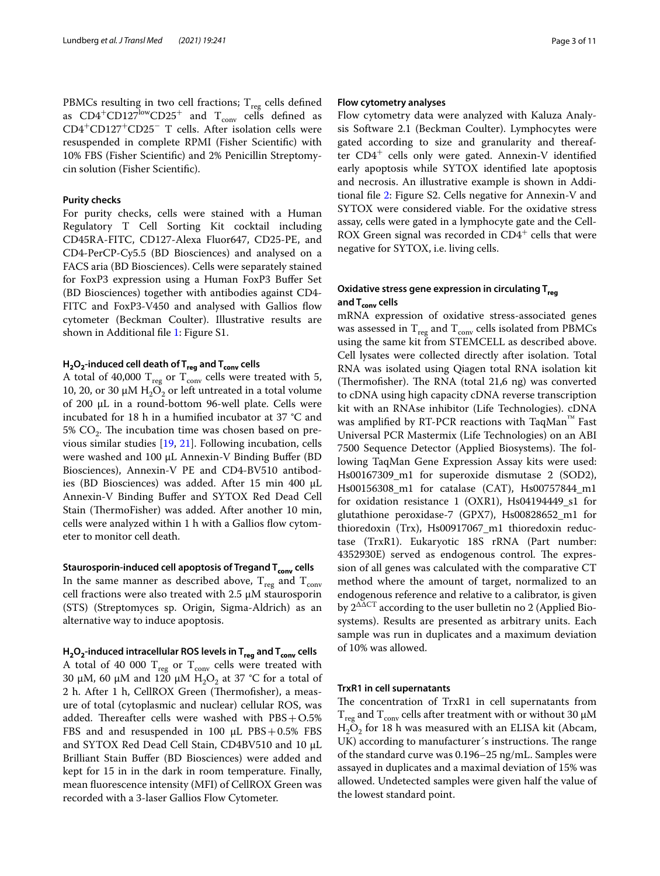PBMCs resulting in two cell fractions;  $T_{reg}$  cells defined as  $CD4+CD127^{\text{low}}CD25^+$  and  $T_{\text{conv}}$  cells defined as CD4<sup>+</sup>CD127<sup>+</sup>CD25<sup>−</sup> T cells. After isolation cells were resuspended in complete RPMI (Fisher Scientifc) with 10% FBS (Fisher Scientifc) and 2% Penicillin Streptomycin solution (Fisher Scientifc).

## **Purity checks**

For purity checks, cells were stained with a Human Regulatory T Cell Sorting Kit cocktail including CD45RA-FITC, CD127-Alexa Fluor647, CD25-PE, and CD4-PerCP-Cy5.5 (BD Biosciences) and analysed on a FACS aria (BD Biosciences). Cells were separately stained for FoxP3 expression using a Human FoxP3 Bufer Set (BD Biosciences) together with antibodies against CD4- FITC and FoxP3-V450 and analysed with Gallios flow cytometer (Beckman Coulter). Illustrative results are shown in Additional fle [1:](#page-8-0) Figure S1.

## **H2O2‑induced cell death of Treg and Tconv cells**

A total of 40,000  $\rm T_{reg}$  or  $\rm T_{conv}$  cells were treated with 5, 10, 20, or 30 μM  $\text{H}_{2}\text{O}_{2}$  or left untreated in a total volume of 200 μL in a round-bottom 96-well plate. Cells were incubated for 18 h in a humifed incubator at 37 °C and 5%  $CO<sub>2</sub>$ . The incubation time was chosen based on previous similar studies [\[19,](#page-9-17) [21](#page-9-19)]. Following incubation, cells were washed and 100 µL Annexin-V Binding Buffer (BD Biosciences), Annexin-V PE and CD4-BV510 antibodies (BD Biosciences) was added. After 15 min 400 µL Annexin-V Binding Bufer and SYTOX Red Dead Cell Stain (ThermoFisher) was added. After another 10 min, cells were analyzed within 1 h with a Gallios flow cytometer to monitor cell death.

## **Staurosporin‑induced cell apoptosis of Tregand Tconv cells**

In the same manner as described above,  $T_{reg}$  and  $T_{conv}$ cell fractions were also treated with 2.5 µM staurosporin (STS) (Streptomyces sp. Origin, Sigma-Aldrich) as an alternative way to induce apoptosis.

**H2O2‑induced intracellular ROS levels in Treg and Tconv cells** A total of 40 000  $T_{reg}$  or  $T_{conv}$  cells were treated with 30  $\mu$ M, 60  $\mu$ M and 120  $\mu$ M H<sub>2</sub>O<sub>2</sub> at 37 °C for a total of 2 h. After 1 h, CellROX Green (Thermofisher), a measure of total (cytoplasmic and nuclear) cellular ROS, was added. Thereafter cells were washed with  $\text{PBS}+\text{O.5}\%$ FBS and and resuspended in 100  $\mu$ L PBS + 0.5% FBS and SYTOX Red Dead Cell Stain, CD4BV510 and 10 µL Brilliant Stain Bufer (BD Biosciences) were added and kept for 15 in in the dark in room temperature. Finally, mean fuorescence intensity (MFI) of CellROX Green was recorded with a 3-laser Gallios Flow Cytometer.

## **Flow cytometry analyses**

Flow cytometry data were analyzed with Kaluza Analysis Software 2.1 (Beckman Coulter). Lymphocytes were gated according to size and granularity and thereafter  $CD4^+$  cells only were gated. Annexin-V identified early apoptosis while SYTOX identifed late apoptosis and necrosis. An illustrative example is shown in Additional fle [2](#page-8-1): Figure S2. Cells negative for Annexin-V and SYTOX were considered viable. For the oxidative stress assay, cells were gated in a lymphocyte gate and the Cell-ROX Green signal was recorded in  $CD4^+$  cells that were negative for SYTOX, i.e. living cells.

## **Oxidative stress gene expression in circulating Treg and Tconv cells**

mRNA expression of oxidative stress-associated genes was assessed in  $T_{reg}$  and  $T_{conv}$  cells isolated from PBMCs using the same kit from STEMCELL as described above. Cell lysates were collected directly after isolation. Total RNA was isolated using Qiagen total RNA isolation kit (Thermofisher). The RNA (total  $21,6$  ng) was converted to cDNA using high capacity cDNA reverse transcription kit with an RNAse inhibitor (Life Technologies). cDNA was amplifed by RT-PCR reactions with TaqMan™ Fast Universal PCR Mastermix (Life Technologies) on an ABI 7500 Sequence Detector (Applied Biosystems). The following TaqMan Gene Expression Assay kits were used: Hs00167309\_m1 for superoxide dismutase 2 (SOD2), Hs00156308\_m1 for catalase (CAT), Hs00757844\_m1 for oxidation resistance 1 (OXR1), Hs04194449\_s1 for glutathione peroxidase-7 (GPX7), Hs00828652\_m1 for thioredoxin (Trx), Hs00917067\_m1 thioredoxin reductase (TrxR1). Eukaryotic 18S rRNA (Part number: 4352930E) served as endogenous control. The expression of all genes was calculated with the comparative CT method where the amount of target, normalized to an endogenous reference and relative to a calibrator, is given by  $2^{\Delta\Delta CT}$  according to the user bulletin no 2 (Applied Biosystems). Results are presented as arbitrary units. Each sample was run in duplicates and a maximum deviation of 10% was allowed.

## **TrxR1 in cell supernatants**

The concentration of TrxR1 in cell supernatants from  $T_{\text{reg}}$  and  $T_{\text{conv}}$  cells after treatment with or without 30  $\mu$ M  $H_2O_2$  for 18 h was measured with an ELISA kit (Abcam, UK) according to manufacturer's instructions. The range of the standard curve was 0.196–25 ng/mL. Samples were assayed in duplicates and a maximal deviation of 15% was allowed. Undetected samples were given half the value of the lowest standard point.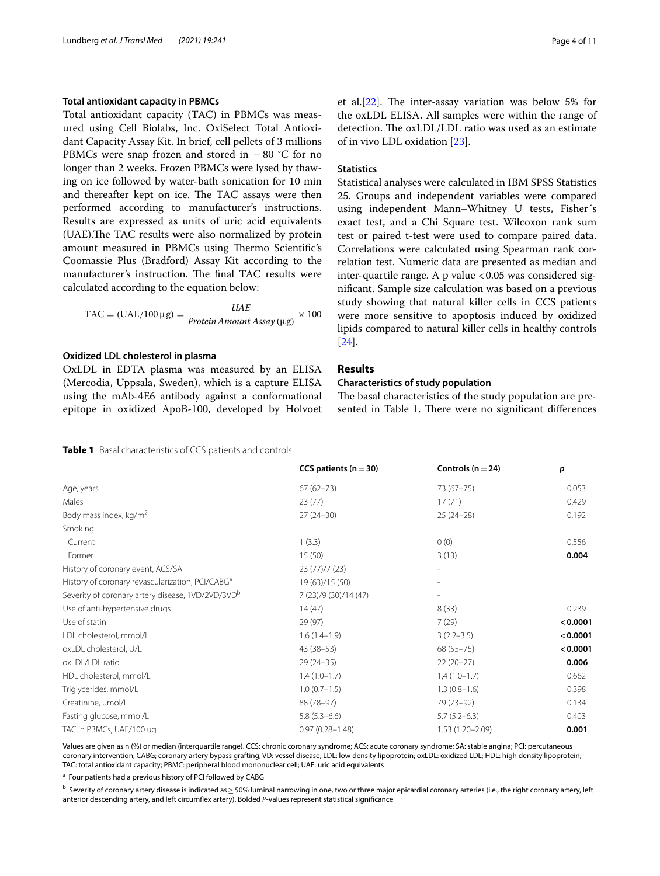## **Total antioxidant capacity in PBMCs**

Total antioxidant capacity (TAC) in PBMCs was measured using Cell Biolabs, Inc. OxiSelect Total Antioxidant Capacity Assay Kit. In brief, cell pellets of 3 millions PBMCs were snap frozen and stored in −80 °C for no longer than 2 weeks. Frozen PBMCs were lysed by thawing on ice followed by water-bath sonication for 10 min and thereafter kept on ice. The TAC assays were then performed according to manufacturer's instructions. Results are expressed as units of uric acid equivalents (UAE). The TAC results were also normalized by protein amount measured in PBMCs using Thermo Scientific's Coomassie Plus (Bradford) Assay Kit according to the manufacturer's instruction. The final TAC results were calculated according to the equation below:

$$
TAC = (UAE/100 \,\mu\text{g}) = \frac{UAE}{Protein\,Amount\,Assay\,(\mu\text{g})} \times 100
$$

## **Oxidized LDL cholesterol in plasma**

OxLDL in EDTA plasma was measured by an ELISA (Mercodia, Uppsala, Sweden), which is a capture ELISA using the mAb-4E6 antibody against a conformational epitope in oxidized ApoB-100, developed by Holvoet et al. $[22]$  $[22]$ . The inter-assay variation was below 5% for the oxLDL ELISA. All samples were within the range of detection. The oxLDL/LDL ratio was used as an estimate of in vivo LDL oxidation [\[23](#page-9-21)].

## **Statistics**

Statistical analyses were calculated in IBM SPSS Statistics 25. Groups and independent variables were compared using independent Mann–Whitney U tests, Fisher´s exact test, and a Chi Square test. Wilcoxon rank sum test or paired t-test were used to compare paired data. Correlations were calculated using Spearman rank correlation test. Numeric data are presented as median and inter-quartile range. A p value  $< 0.05$  was considered signifcant. Sample size calculation was based on a previous study showing that natural killer cells in CCS patients were more sensitive to apoptosis induced by oxidized lipids compared to natural killer cells in healthy controls [[24\]](#page-9-22).

## **Results**

## **Characteristics of study population**

The basal characteristics of the study population are pre-sented in Table [1.](#page-3-0) There were no significant differences

<span id="page-3-0"></span>

| <b>Table 1</b> Basal characteristics of CCS patients and controls |
|-------------------------------------------------------------------|
|-------------------------------------------------------------------|

|                                                               | CCS patients ( $n = 30$ ) | Controls ( $n = 24$ ) | p        |
|---------------------------------------------------------------|---------------------------|-----------------------|----------|
| Age, years                                                    | $67(62 - 73)$             | 73 (67-75)            | 0.053    |
| Males                                                         | 23(77)                    | 17(71)                | 0.429    |
| Body mass index, kg/m <sup>2</sup>                            | $27(24-30)$               | $25(24-28)$           | 0.192    |
| Smoking                                                       |                           |                       |          |
| Current                                                       | 1(3.3)                    | 0(0)                  | 0.556    |
| Former                                                        | 15(50)                    | 3(13)                 | 0.004    |
| History of coronary event, ACS/SA                             | 23 (77)/7 (23)            |                       |          |
| History of coronary revascularization, PCI/CABG <sup>a</sup>  | 19 (63)/15 (50)           |                       |          |
| Severity of coronary artery disease, 1VD/2VD/3VD <sup>b</sup> | 7 (23)/9 (30)/14 (47)     |                       |          |
| Use of anti-hypertensive drugs                                | 14(47)                    | 8(33)                 | 0.239    |
| Use of statin                                                 | 29 (97)                   | 7(29)                 | < 0.0001 |
| LDL cholesterol, mmol/L                                       | $1.6(1.4-1.9)$            | $3(2.2 - 3.5)$        | < 0.0001 |
| oxLDL cholesterol, U/L                                        | $43(38-53)$               | $68(55 - 75)$         | < 0.0001 |
| oxLDL/LDL ratio                                               | $29(24-35)$               | $22(20-27)$           | 0.006    |
| HDL cholesterol, mmol/L                                       | $1.4(1.0-1.7)$            | $1,4(1.0-1.7)$        | 0.662    |
| Triglycerides, mmol/L                                         | $1.0(0.7-1.5)$            | $1.3(0.8-1.6)$        | 0.398    |
| Creatinine, µmol/L                                            | 88 (78-97)                | 79 (73-92)            | 0.134    |
| Fasting glucose, mmol/L                                       | $5.8(5.3 - 6.6)$          | $5.7(5.2-6.3)$        | 0.403    |
| TAC in PBMCs, UAE/100 ug                                      | $0.97(0.28 - 1.48)$       | 1.53 (1.20-2.09)      | 0.001    |

Values are given as n (%) or median (interquartile range). CCS: chronic coronary syndrome; ACS: acute coronary syndrome; SA: stable angina; PCI: percutaneous coronary intervention; CABG; coronary artery bypass grafting; VD: vessel disease; LDL: low density lipoprotein; oxLDL: oxidized LDL; HDL: high density lipoprotein; TAC: total antioxidant capacity; PBMC: peripheral blood mononuclear cell; UAE: uric acid equivalents

<sup>a</sup> Four patients had a previous history of PCI followed by CABG

 $^{\rm b}$  Severity of coronary artery disease is indicated as $\geq$  50% luminal narrowing in one, two or three major epicardial coronary arteries (i.e., the right coronary artery, left anterior descending artery, and left circumfex artery). Bolded *P*-values represent statistical signifcance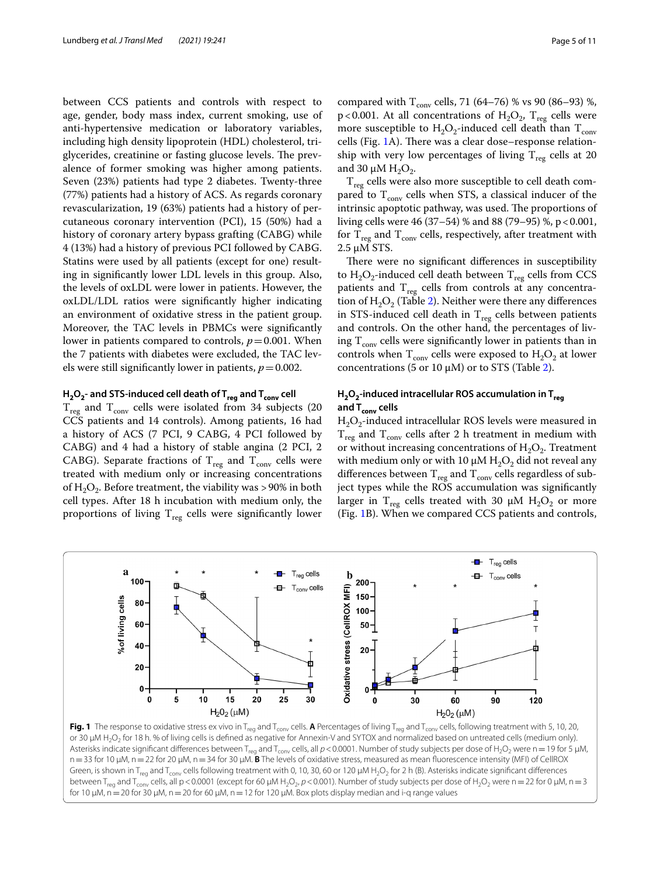between CCS patients and controls with respect to age, gender, body mass index, current smoking, use of anti-hypertensive medication or laboratory variables, including high density lipoprotein (HDL) cholesterol, triglycerides, creatinine or fasting glucose levels. The prevalence of former smoking was higher among patients. Seven (23%) patients had type 2 diabetes. Twenty-three (77%) patients had a history of ACS. As regards coronary revascularization, 19 (63%) patients had a history of percutaneous coronary intervention (PCI), 15 (50%) had a history of coronary artery bypass grafting (CABG) while 4 (13%) had a history of previous PCI followed by CABG. Statins were used by all patients (except for one) resulting in signifcantly lower LDL levels in this group. Also, the levels of oxLDL were lower in patients. However, the oxLDL/LDL ratios were signifcantly higher indicating an environment of oxidative stress in the patient group. Moreover, the TAC levels in PBMCs were signifcantly lower in patients compared to controls,  $p = 0.001$ . When the 7 patients with diabetes were excluded, the TAC levels were still significantly lower in patients,  $p = 0.002$ .

## **H2O2‑ and STS‑induced cell death of Treg and Tconv cell**

 $T_{\text{reg}}$  and  $T_{\text{conv}}$  cells were isolated from 34 subjects (20 CCS patients and 14 controls). Among patients, 16 had a history of ACS (7 PCI, 9 CABG, 4 PCI followed by CABG) and 4 had a history of stable angina (2 PCI, 2 CABG). Separate fractions of  $T_{reg}$  and  $T_{conv}$  cells were treated with medium only or increasing concentrations of  $H_2O_2$ . Before treatment, the viability was >90% in both cell types. After 18 h incubation with medium only, the proportions of living  $T_{reg}$  cells were significantly lower

compared with  $T_{\text{conv}}$  cells, 71 (64–76) % vs 90 (86–93) %, p<0.001. At all concentrations of  $H_2O_2$ ,  $T_{reg}$  cells were more susceptible to  $H_2O_2$ -induced cell death than  $T_{conv}$ cells (Fig. [1A](#page-4-0)). There was a clear dose–response relationship with very low percentages of living  $T_{res}$  cells at 20 and 30  $\mu$ M H<sub>2</sub>O<sub>2</sub>.

 $T_{reg}$  cells were also more susceptible to cell death compared to  $T_{conv}$  cells when STS, a classical inducer of the intrinsic apoptotic pathway, was used. The proportions of living cells were 46 (37–54) % and 88 (79–95) %, p<0.001, for  $T_{reg}$  and  $T_{conv}$  cells, respectively, after treatment with 2.5 µM STS.

There were no significant differences in susceptibility to  $H_2O_2$ -induced cell death between  $T_{reg}$  cells from CCS patients and  $T_{reg}$  cells from controls at any concentration of  $H_2O_2$  (Table [2](#page-5-0)). Neither were there any differences in STS-induced cell death in  $T_{reg}$  cells between patients and controls. On the other hand, the percentages of living  $T_{conv}$  cells were significantly lower in patients than in controls when  $T_{conv}$  cells were exposed to  $H_2O_2$  at lower concentrations (5 or 10  $\mu$ M) or to STS (Table [2\)](#page-5-0).

## **H2O2‑induced intracellular ROS accumulation in Treg and Tconv cells**

 $H_2O_2$ -induced intracellular ROS levels were measured in  $T_{reg}$  and  $T_{conv}$  cells after 2 h treatment in medium with or without increasing concentrations of  $H_2O_2$ . Treatment with medium only or with 10  $\mu$ M H<sub>2</sub>O<sub>2</sub> did not reveal any differences between  $T_{\text{reg}}$  and  $T_{\text{conv}}$  cells regardless of subject types while the ROS accumulation was signifcantly larger in  $T_{reg}$  cells treated with 30  $\mu$ M H<sub>2</sub>O<sub>2</sub> or more (Fig. [1](#page-4-0)B). When we compared CCS patients and controls,



<span id="page-4-0"></span>**Fig. 1** The response to oxidative stress ex vivo in T<sub>reg</sub> and T<sub>conv</sub> cells. **A** Percentages of living T<sub>reg</sub> and T<sub>conv</sub> cells, following treatment with 5, 10, 20, or 30 µM H<sub>2</sub>O<sub>2</sub> for 18 h. % of living cells is defined as negative for Annexin-V and SYTOX and normalized based on untreated cells (medium only). Asterisks indicate significant differences between T<sub>req</sub> and T<sub>conv</sub> cells, all  $p < 0.0001$ . Number of study subjects per dose of H<sub>2</sub>O<sub>2</sub> were n = 19 for 5 µM, n=33 for 10 µM, n=22 for 20 µM, n=34 for 30 µM. **B** The levels of oxidative stress, measured as mean fuorescence intensity (MFI) of CellROX Green, is shown in T<sub>reg</sub> and T<sub>conv</sub> cells following treatment with 0, 10, 30, 60 or 120 µM H<sub>2</sub>O<sub>2</sub> for 2 h (B). Asterisks indicate significant differences between T<sub>reg</sub> and T<sub>conv</sub> cells, all p < 0.0001 (except for 60 μM H<sub>2</sub>O<sub>2</sub>, p < 0.001). Number of study subjects per dose of H<sub>2</sub>O<sub>2</sub> were n = 22 for 0 μM, n = 3 for 10  $\mu$ M, n = 20 for 30  $\mu$ M, n = 20 for 60  $\mu$ M, n = 12 for 120  $\mu$ M. Box plots display median and i-q range values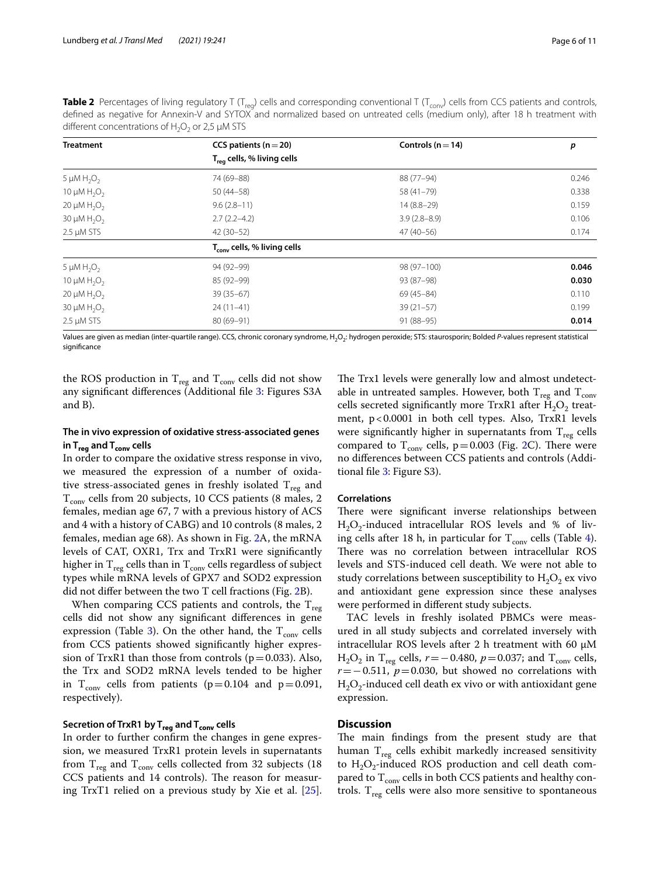<span id="page-5-0"></span>

| <b>Table 2</b> Percentages of living regulatory T (T <sub>rea</sub> ) cells and corresponding conventional T (T <sub>conv</sub> ) cells from CCS patients and controls, |  |  |  |
|-------------------------------------------------------------------------------------------------------------------------------------------------------------------------|--|--|--|
| defined as negative for Annexin-V and SYTOX and normalized based on untreated cells (medium only), after 18 h treatment with                                            |  |  |  |
| different concentrations of $H_2O_2$ or 2,5 µM STS                                                                                                                      |  |  |  |
|                                                                                                                                                                         |  |  |  |

| <b>Treatment</b>                         | CCS patients ( $n = 20$ )               | Controls ( $n = 14$ ) | p     |  |
|------------------------------------------|-----------------------------------------|-----------------------|-------|--|
|                                          | $T_{\text{rea}}$ cells, % living cells  |                       |       |  |
| 5 $\mu$ M H <sub>2</sub> O <sub>2</sub>  | 74 (69-88)                              | 88 (77-94)            | 0.246 |  |
| 10 $\mu$ M H <sub>2</sub> O <sub>2</sub> | $50(44 - 58)$                           | 58 (41-79)            | 0.338 |  |
| 20 $\mu$ M H <sub>2</sub> O <sub>2</sub> | $9.6(2.8-11)$                           | $14(8.8-29)$          | 0.159 |  |
| 30 $\mu$ M H <sub>2</sub> O <sub>2</sub> | $2.7(2.2 - 4.2)$                        | $3.9(2.8 - 8.9)$      | 0.106 |  |
| $2.5 \mu M STS$                          | $42(30-52)$                             | $47(40-56)$           | 0.174 |  |
|                                          | T <sub>conv</sub> cells, % living cells |                       |       |  |
| 5 $\mu$ M H <sub>2</sub> O <sub>2</sub>  | 94 (92-99)                              | 98 (97-100)           | 0.046 |  |
| 10 $\mu$ M H <sub>2</sub> O <sub>2</sub> | 85 (92-99)                              | 93 (87-98)            | 0.030 |  |
| 20 $\mu$ M H <sub>2</sub> O <sub>2</sub> | $39(35-67)$                             | 69 (45-84)            | 0.110 |  |
| 30 $\mu$ M H <sub>2</sub> O <sub>2</sub> | $24(11-41)$                             | $39(21-57)$           | 0.199 |  |
| $2.5 \mu M STS$                          | 80 (69-91)                              | $91(88-95)$           | 0.014 |  |

Values are given as median (inter-quartile range). CCS, chronic coronary syndrome, H<sub>2</sub>O<sub>2</sub>: hydrogen peroxide; STS: staurosporin; Bolded P-values represent statistical signifcance

the ROS production in  $T_{reg}$  and  $T_{conv}$  cells did not show any signifcant diferences (Additional fle [3:](#page-8-2) Figures S3A and B).

## **The in vivo expression of oxidative stress‑associated genes in Treg and Tconv cells**

In order to compare the oxidative stress response in vivo, we measured the expression of a number of oxidative stress-associated genes in freshly isolated  $T_{reg}$  and  $T_{conv}$  cells from 20 subjects, 10 CCS patients (8 males, 2 females, median age 67, 7 with a previous history of ACS and 4 with a history of CABG) and 10 controls (8 males, 2 females, median age 68). As shown in Fig. [2](#page-6-0)A, the mRNA levels of CAT, OXR1, Trx and TrxR1 were signifcantly higher in  $\rm T_{reg}$  cells than in  $\rm T_{conv}$  cells regardless of subject types while mRNA levels of GPX7 and SOD2 expression did not difer between the two T cell fractions (Fig. [2B](#page-6-0)).

When comparing CCS patients and controls, the  $T_{reg}$ cells did not show any signifcant diferences in gene expression (Table [3\)](#page-7-0). On the other hand, the  $T_{\text{conv}}$  cells from CCS patients showed signifcantly higher expression of TrxR1 than those from controls ( $p=0.033$ ). Also, the Trx and SOD2 mRNA levels tended to be higher in  $T_{conv}$  cells from patients (p=0.104 and p=0.091, respectively).

## **Secretion of TrxR1 by Treg and Tconv cells**

In order to further confrm the changes in gene expression, we measured TrxR1 protein levels in supernatants from  $\rm T_{reg}$  and  $\rm T_{conv}$  cells collected from 32 subjects (18 CCS patients and 14 controls). The reason for measuring TrxT1 relied on a previous study by Xie et al. [\[25](#page-9-23)].

The Trx1 levels were generally low and almost undetectable in untreated samples. However, both  $T_{reg}$  and  $T_{conv}$ cells secreted significantly more TrxR1 after  $H_2O_2$  treatment, p<0.0001 in both cell types. Also, TrxR1 levels were significantly higher in supernatants from  $T_{reg}$  cells compared to  $T_{conv}$  cells, p=0.003 (Fig. [2](#page-6-0)C). There were no diferences between CCS patients and controls (Additional fle [3](#page-8-2): Figure S3).

### **Correlations**

There were significant inverse relationships between  $H_2O_2$ -induced intracellular ROS levels and % of living cells after 18 h, in particular for  $T_{\text{conv}}$  cells (Table [4](#page-7-1)). There was no correlation between intracellular ROS levels and STS-induced cell death. We were not able to study correlations between susceptibility to  $H_2O_2$  ex vivo and antioxidant gene expression since these analyses were performed in diferent study subjects.

TAC levels in freshly isolated PBMCs were measured in all study subjects and correlated inversely with intracellular ROS levels after 2 h treatment with 60  $\mu$ M H<sub>2</sub>O<sub>2</sub> in T<sub>reg</sub> cells,  $r = -0.480$ ,  $p = 0.037$ ; and T<sub>conv</sub> cells, *r*=−0.511, *p*=0.030, but showed no correlations with  $H_2O_2$ -induced cell death ex vivo or with antioxidant gene expression.

## **Discussion**

The main findings from the present study are that human  $T_{reg}$  cells exhibit markedly increased sensitivity to  $H_2O_2$ -induced ROS production and cell death compared to  $T_{conv}$  cells in both CCS patients and healthy controls.  $T_{reg}$  cells were also more sensitive to spontaneous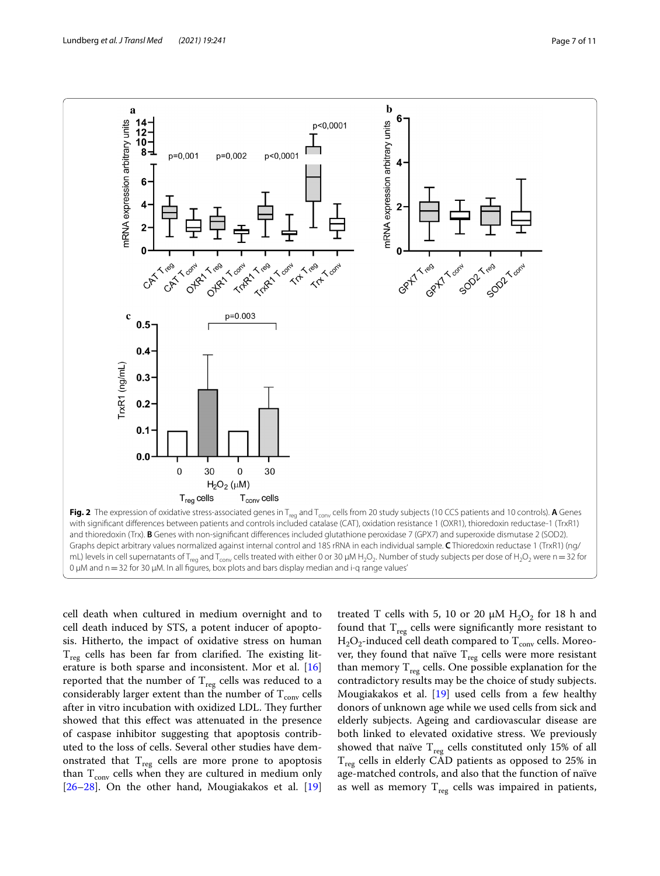

<span id="page-6-0"></span>cell death when cultured in medium overnight and to cell death induced by STS, a potent inducer of apoptosis. Hitherto, the impact of oxidative stress on human  $T_{\text{reg}}$  cells has been far from clarified. The existing literature is both sparse and inconsistent. Mor et al. [[16](#page-9-16)] reported that the number of  $T_{reg}$  cells was reduced to a considerably larger extent than the number of  $T_{\text{conv}}$  cells after in vitro incubation with oxidized LDL. They further showed that this efect was attenuated in the presence of caspase inhibitor suggesting that apoptosis contributed to the loss of cells. Several other studies have demonstrated that  $T_{reg}$  cells are more prone to apoptosis than  $T_{conv}$  cells when they are cultured in medium only  $[26-28]$  $[26-28]$  $[26-28]$ . On the other hand, Mougiakakos et al.  $[19]$  $[19]$  $[19]$ 

treated T cells with 5, 10 or 20  $\mu$ M H<sub>2</sub>O<sub>2</sub> for 18 h and found that  $T_{reg}$  cells were significantly more resistant to  $H_2O_2$ -induced cell death compared to  $T_{\text{conv}}$  cells. Moreover, they found that naïve  $T_{reg}$  cells were more resistant than memory  $T_{\text{reg}}$  cells. One possible explanation for the contradictory results may be the choice of study subjects. Mougiakakos et al. [\[19\]](#page-9-17) used cells from a few healthy donors of unknown age while we used cells from sick and elderly subjects. Ageing and cardiovascular disease are both linked to elevated oxidative stress. We previously showed that naïve  $T_{reg}$  cells constituted only 15% of all  $T_{reg}$  cells in elderly CAD patients as opposed to 25% in age-matched controls, and also that the function of naïve as well as memory  $T_{reg}$  cells was impaired in patients,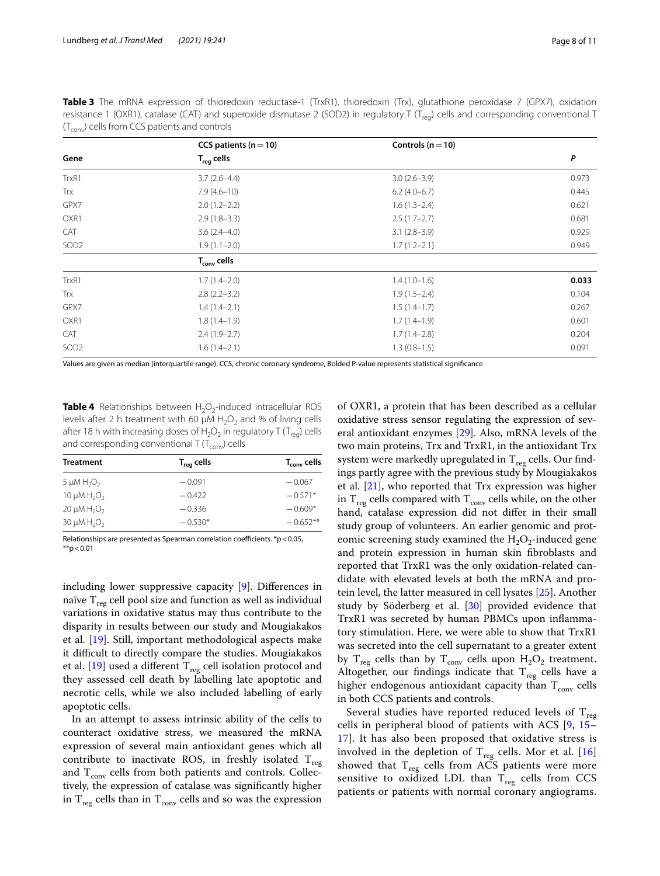| $\sim$           |                           |                       |       |
|------------------|---------------------------|-----------------------|-------|
|                  | CCS patients ( $n = 10$ ) | Controls ( $n = 10$ ) |       |
| Gene             | $T_{\text{rea}}$ cells    |                       | P     |
| TrxR1            | $3.7(2.6-4.4)$            | $3.0(2.6-3.9)$        | 0.973 |
| Trx              | $7.9(4.6-10)$             | $6.2(4.0-6.7)$        | 0.445 |
| GPX7             | $2.0(1.2 - 2.2)$          | $1.6(1.3-2.4)$        | 0.621 |
| OXR1             | $2.9(1.8-3.3)$            | $2.5(1.7-2.7)$        | 0.681 |
| <b>CAT</b>       | $3.6(2.4 - 4.0)$          | $3.1(2.8-3.9)$        | 0.929 |
| SOD <sub>2</sub> | $1.9(1.1 - 2.0)$          | $1.7(1.2-2.1)$        | 0.949 |
|                  | $T_{conv}$ cells          |                       |       |
| TrxR1            | $1.7(1.4-2.0)$            | $1.4(1.0-1.6)$        | 0.033 |
| Trx              | $2.8(2.2 - 3.2)$          | $1.9(1.5-2.4)$        | 0.104 |
| GPX7             | $1.4(1.4-2.1)$            | $1.5(1.4-1.7)$        | 0.267 |
| OXR1             | $1.8(1.4-1.9)$            | $1.7(1.4-1.9)$        | 0.601 |
| <b>CAT</b>       | $2.4(1.9-2.7)$            | $1.7(1.4-2.8)$        | 0.204 |
| SOD <sub>2</sub> | $1.6(1.4-2.1)$            | $1.3(0.8-1.5)$        | 0.091 |
|                  |                           |                       |       |

<span id="page-7-0"></span>**Table 3** The mRNA expression of thioredoxin reductase-1 (TrxR1), thioredoxin (Trx), glutathione peroxidase 7 (GPX7), oxidation resistance 1 (OXR1), catalase (CAT) and superoxide dismutase 2 (SOD2) in regulatory T ( $T_{\text{req}}$ ) cells and corresponding conventional T  $(T_{\text{conv}})$  cells from CCS patients and controls

Values are given as median (interquartile range). CCS, chronic coronary syndrome, Bolded P-value represents statistical signifcance

<span id="page-7-1"></span>**Table 4** Relationships between H<sub>2</sub>O<sub>2</sub>-induced intracellular ROS levels after 2 h treatment with 60  $\mu$ M H<sub>2</sub>O<sub>2</sub> and % of living cells after 18 h with increasing doses of  $H_2O_2$  in regulatory T (T<sub>reg</sub>) cells and corresponding conventional T ( $T_{conv}$ ) cells

| <b>Treatment</b>                         | $T_{reg}$ cells | T <sub>conv</sub> cells |
|------------------------------------------|-----------------|-------------------------|
| 5 $\mu$ M H <sub>2</sub> O <sub>2</sub>  | $-0.091$        | $-0.067$                |
| 10 $\mu$ M H <sub>2</sub> O <sub>2</sub> | $-0.422$        | $-0.571*$               |
| 20 $\mu$ M H <sub>2</sub> O <sub>2</sub> | $-0.336$        | $-0.609*$               |
| 30 $\mu$ M H <sub>2</sub> O <sub>2</sub> | $-0.530*$       | $-0.652**$              |

Relationships are presented as Spearman correlation coefficients. \*p < 0.05,  $*$ <sub>\*</sub> $> 0.01$ 

including lower suppressive capacity [[9\]](#page-9-12). Diferences in naïve  $T_{\text{reg}}$  cell pool size and function as well as individual variations in oxidative status may thus contribute to the disparity in results between our study and Mougiakakos et al. [\[19](#page-9-17)]. Still, important methodological aspects make it difficult to directly compare the studies. Mougiakakos et al.  $[19]$  $[19]$  used a different  $T_{\text{reg}}$  cell isolation protocol and they assessed cell death by labelling late apoptotic and necrotic cells, while we also included labelling of early apoptotic cells.

In an attempt to assess intrinsic ability of the cells to counteract oxidative stress, we measured the mRNA expression of several main antioxidant genes which all contribute to inactivate ROS, in freshly isolated  $T_{reg}$ and  $T_{conv}$  cells from both patients and controls. Collectively, the expression of catalase was signifcantly higher in  $T_{reg}$  cells than in  $T_{conv}$  cells and so was the expression of OXR1, a protein that has been described as a cellular oxidative stress sensor regulating the expression of several antioxidant enzymes [[29](#page-10-0)]. Also, mRNA levels of the two main proteins, Trx and TrxR1, in the antioxidant Trx system were markedly upregulated in  $T_{reg}$  cells. Our findings partly agree with the previous study by Mougiakakos et al.  $[21]$  $[21]$ , who reported that Trx expression was higher in  $T_{reg}$  cells compared with  $T_{conv}$  cells while, on the other hand, catalase expression did not difer in their small study group of volunteers. An earlier genomic and proteomic screening study examined the  $H_2O_2$ -induced gene and protein expression in human skin fbroblasts and reported that TrxR1 was the only oxidation-related candidate with elevated levels at both the mRNA and protein level, the latter measured in cell lysates [[25](#page-9-23)]. Another study by Söderberg et al. [[30](#page-10-1)] provided evidence that TrxR1 was secreted by human PBMCs upon infammatory stimulation. Here, we were able to show that TrxR1 was secreted into the cell supernatant to a greater extent by  $T_{reg}$  cells than by  $T_{conv}$  cells upon  $H_2O_2$  treatment. Altogether, our findings indicate that  $T_{\text{reg}}$  cells have a higher endogenous antioxidant capacity than  $T_{conv}$  cells in both CCS patients and controls.

Several studies have reported reduced levels of  $T_{\text{reg}}$ cells in peripheral blood of patients with ACS [\[9,](#page-9-12) [15–](#page-9-13) [17\]](#page-9-14). It has also been proposed that oxidative stress is involved in the depletion of  $T_{reg}$  cells. Mor et al. [\[16](#page-9-16)] showed that  $T_{reg}$  cells from ACS patients were more sensitive to oxidized LDL than  $T_{\text{reg}}$  cells from CCS patients or patients with normal coronary angiograms.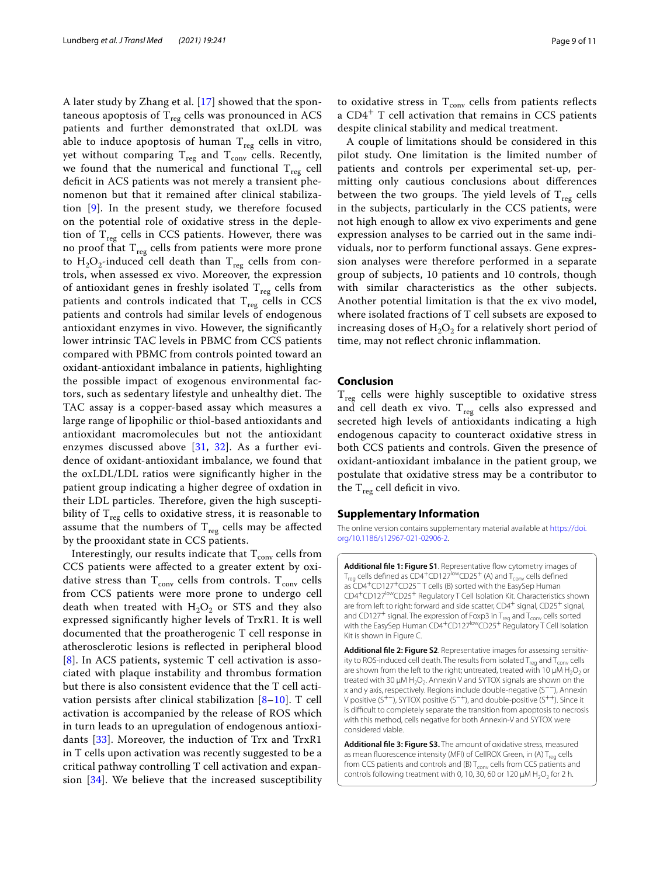A later study by Zhang et al. [[17](#page-9-14)] showed that the spontaneous apoptosis of  $T_{reg}$  cells was pronounced in ACS patients and further demonstrated that oxLDL was able to induce apoptosis of human  $T_{reg}$  cells in vitro, yet without comparing  $T_{reg}$  and  $T_{conv}$  cells. Recently, we found that the numerical and functional  $T_{reg}$  cell deficit in ACS patients was not merely a transient phenomenon but that it remained after clinical stabilization [\[9](#page-9-12)]. In the present study, we therefore focused on the potential role of oxidative stress in the depletion of  $T_{res}$  cells in CCS patients. However, there was no proof that  $T_{reg}$  cells from patients were more prone to  $H_2O_2$ -induced cell death than  $T_{reg}$  cells from controls, when assessed ex vivo. Moreover, the expression of antioxidant genes in freshly isolated  $T_{reg}$  cells from patients and controls indicated that  $T_{reg}$  cells in CCS patients and controls had similar levels of endogenous antioxidant enzymes in vivo. However, the signifcantly lower intrinsic TAC levels in PBMC from CCS patients compared with PBMC from controls pointed toward an oxidant-antioxidant imbalance in patients, highlighting the possible impact of exogenous environmental factors, such as sedentary lifestyle and unhealthy diet. The TAC assay is a copper-based assay which measures a large range of lipophilic or thiol-based antioxidants and antioxidant macromolecules but not the antioxidant enzymes discussed above [\[31](#page-10-2), [32\]](#page-10-3). As a further evidence of oxidant-antioxidant imbalance, we found that the oxLDL/LDL ratios were signifcantly higher in the patient group indicating a higher degree of oxdation in their LDL particles. Therefore, given the high susceptibility of  $T_{reg}$  cells to oxidative stress, it is reasonable to assume that the numbers of  $T_{reg}$  cells may be affected by the prooxidant state in CCS patients.

Interestingly, our results indicate that  $T_{\text{conv}}$  cells from CCS patients were afected to a greater extent by oxidative stress than  $T_{\text{conv}}$  cells from controls.  $T_{\text{conv}}$  cells from CCS patients were more prone to undergo cell death when treated with  $H_2O_2$  or STS and they also expressed signifcantly higher levels of TrxR1. It is well documented that the proatherogenic T cell response in atherosclerotic lesions is refected in peripheral blood [[8](#page-9-7)]. In ACS patients, systemic T cell activation is associated with plaque instability and thrombus formation but there is also consistent evidence that the T cell activation persists after clinical stabilization [\[8](#page-9-7)[–10](#page-9-8)]. T cell activation is accompanied by the release of ROS which in turn leads to an upregulation of endogenous antioxidants [[33\]](#page-10-4). Moreover, the induction of Trx and TrxR1 in T cells upon activation was recently suggested to be a critical pathway controlling T cell activation and expansion [[34\]](#page-10-5). We believe that the increased susceptibility

to oxidative stress in  $T_{\text{conv}}$  cells from patients reflects a CD4<sup>+</sup> T cell activation that remains in CCS patients despite clinical stability and medical treatment.

A couple of limitations should be considered in this pilot study. One limitation is the limited number of patients and controls per experimental set-up, permitting only cautious conclusions about diferences between the two groups. The yield levels of  $T_{reg}$  cells in the subjects, particularly in the CCS patients, were not high enough to allow ex vivo experiments and gene expression analyses to be carried out in the same individuals, nor to perform functional assays. Gene expression analyses were therefore performed in a separate group of subjects, 10 patients and 10 controls, though with similar characteristics as the other subjects. Another potential limitation is that the ex vivo model, where isolated fractions of T cell subsets are exposed to increasing doses of  $H_2O_2$  for a relatively short period of time, may not refect chronic infammation.

## **Conclusion**

 $T_{\text{reg}}$  cells were highly susceptible to oxidative stress and cell death ex vivo.  $T_{reg}$  cells also expressed and secreted high levels of antioxidants indicating a high endogenous capacity to counteract oxidative stress in both CCS patients and controls. Given the presence of oxidant-antioxidant imbalance in the patient group, we postulate that oxidative stress may be a contributor to the  $T_{reg}$  cell deficit in vivo.

#### **Supplementary Information**

The online version contains supplementary material available at [https://doi.](https://doi.org/10.1186/s12967-021-02906-2) [org/10.1186/s12967-021-02906-2](https://doi.org/10.1186/s12967-021-02906-2).

<span id="page-8-0"></span>Additional file 1: Figure S1. Representative flow cytometry images of  $T_{\text{req}}$  cells defined as CD4<sup>+</sup>CD127<sup>low</sup>CD25<sup>+</sup> (A) and  $T_{\text{conv}}$  cells defined as CD4+CD127+CD25− T cells (B) sorted with the EasySep Human CD4+CD127lowCD25+ Regulatory T Cell Isolation Kit. Characteristics shown are from left to right: forward and side scatter, CD4<sup>+</sup> signal, CD25<sup>+</sup> signal, and CD127<sup>+</sup> signal. The expression of Foxp3 in T<sub>reg</sub> and T<sub>conv</sub> cells sorted with the EasySep Human CD4<sup>+</sup>CD127<sup>low</sup>CD25<sup>+</sup> Regulatory T Cell Isolation Kit is shown in Figure C.

<span id="page-8-1"></span>**Additional fle 2: Figure S2**. Representative images for assessing sensitivity to ROS-induced cell death. The results from isolated  $T_{\text{rea}}$  and  $T_{\text{conv}}$  cells are shown from the left to the right; untreated, treated with 10  $\mu$ M H<sub>2</sub>O<sub>2</sub> or treated with 30  $\mu$ M H<sub>2</sub>O<sub>2</sub>. Annexin V and SYTOX signals are shown on the x and y axis, respectively. Regions include double-negative (S−−), Annexin V positive (S+−), SYTOX positive (S−+), and double-positive (S++). Since it is difficult to completely separate the transition from apoptosis to necrosis with this method, cells negative for both Annexin-V and SYTOX were considered viable.

<span id="page-8-2"></span>**Additional fle 3: Figure S3.** The amount of oxidative stress, measured as mean fluorescence intensity (MFI) of CellROX Green, in (A)  $T_{req}$  cells from CCS patients and controls and (B)  $T_{conv}$  cells from CCS patients and controls following treatment with 0, 10, 30, 60 or 120  $\mu$ M H<sub>2</sub>O<sub>2</sub> for 2 h.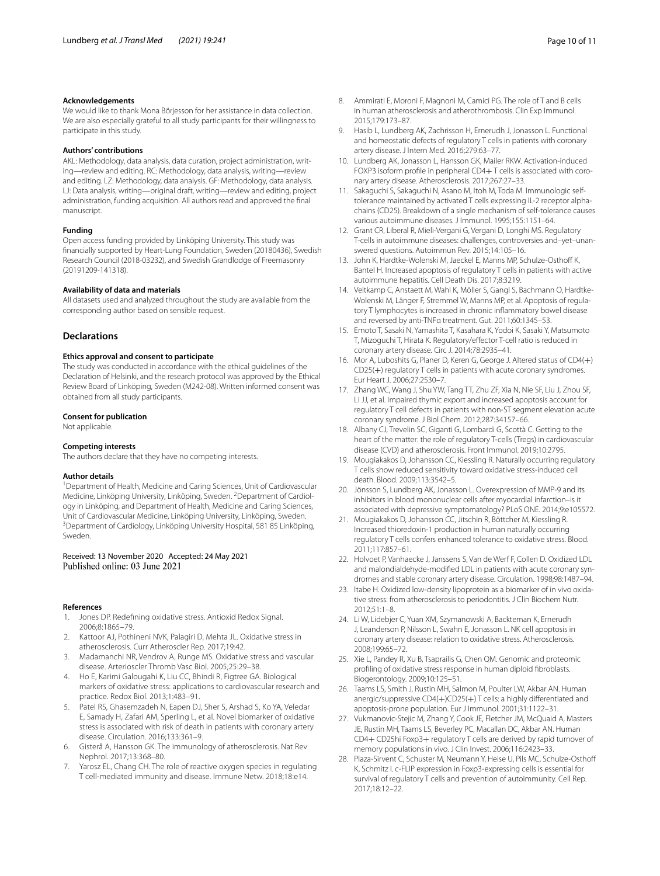#### **Acknowledgements**

We would like to thank Mona Börjesson for her assistance in data collection. We are also especially grateful to all study participants for their willingness to participate in this study.

#### **Authors' contributions**

AKL: Methodology, data analysis, data curation, project administration, writing—review and editing. RC: Methodology, data analysis, writing—review and editing. LZ: Methodology, data analysis. GF: Methodology, data analysis. LJ: Data analysis, writing—original draft, writing—review and editing, project administration, funding acquisition. All authors read and approved the fnal manuscript.

#### **Funding**

Open access funding provided by Linköping University. This study was fnancially supported by Heart-Lung Foundation, Sweden (20180436), Swedish Research Council (2018-03232), and Swedish Grandlodge of Freemasonry (20191209-141318).

## **Availability of data and materials**

All datasets used and analyzed throughout the study are available from the corresponding author based on sensible request.

## **Declarations**

#### **Ethics approval and consent to participate**

The study was conducted in accordance with the ethical guidelines of the Declaration of Helsinki, and the research protocol was approved by the Ethical Review Board of Linköping, Sweden (M242-08). Written informed consent was obtained from all study participants.

#### **Consent for publication**

Not applicable.

#### **Competing interests**

The authors declare that they have no competing interests.

#### **Author details**

<sup>1</sup> Department of Health, Medicine and Caring Sciences, Unit of Cardiovascular Medicine, Linköping University, Linköping, Sweden. <sup>2</sup> Department of Cardiology in Linköping, and Department of Health, Medicine and Caring Sciences, Unit of Cardiovascular Medicine, Linköping University, Linköping, Sweden. 3 <sup>3</sup> Department of Cardiology, Linköping University Hospital, 581 85 Linköping, Sweden.

## Received: 13 November 2020 Accepted: 24 May 2021

#### **References**

- <span id="page-9-0"></span>1. Jones DP. Redefning oxidative stress. Antioxid Redox Signal. 2006;8:1865–79.
- <span id="page-9-1"></span>2. Kattoor AJ, Pothineni NVK, Palagiri D, Mehta JL. Oxidative stress in atherosclerosis. Curr Atheroscler Rep. 2017;19:42.
- <span id="page-9-2"></span>3. Madamanchi NR, Vendrov A, Runge MS. Oxidative stress and vascular disease. Arterioscler Thromb Vasc Biol. 2005;25:29–38.
- <span id="page-9-3"></span>4. Ho E, Karimi Galougahi K, Liu CC, Bhindi R, Figtree GA. Biological markers of oxidative stress: applications to cardiovascular research and practice. Redox Biol. 2013;1:483–91.
- <span id="page-9-4"></span>Patel RS, Ghasemzadeh N, Eapen DJ, Sher S, Arshad S, Ko YA, Veledar E, Samady H, Zafari AM, Sperling L, et al. Novel biomarker of oxidative stress is associated with risk of death in patients with coronary artery disease. Circulation. 2016;133:361–9.
- <span id="page-9-5"></span>6. Gisterå A, Hansson GK. The immunology of atherosclerosis. Nat Rev Nephrol. 2017;13:368–80.
- <span id="page-9-6"></span>7. Yarosz EL, Chang CH. The role of reactive oxygen species in regulating T cell-mediated immunity and disease. Immune Netw. 2018;18:e14.
- <span id="page-9-7"></span>8. Ammirati E, Moroni F, Magnoni M, Camici PG. The role of T and B cells in human atherosclerosis and atherothrombosis. Clin Exp Immunol. 2015;179:173–87.
- <span id="page-9-12"></span>9. Hasib L, Lundberg AK, Zachrisson H, Ernerudh J, Jonasson L. Functional and homeostatic defects of regulatory T cells in patients with coronary artery disease. J Intern Med. 2016;279:63–77.
- <span id="page-9-8"></span>10. Lundberg AK, Jonasson L, Hansson GK, Mailer RKW. Activation-induced FOXP3 isoform profile in peripheral CD4+T cells is associated with coronary artery disease. Atherosclerosis. 2017;267:27–33.
- <span id="page-9-9"></span>11. Sakaguchi S, Sakaguchi N, Asano M, Itoh M, Toda M. Immunologic selftolerance maintained by activated T cells expressing IL-2 receptor alphachains (CD25). Breakdown of a single mechanism of self-tolerance causes various autoimmune diseases. J Immunol. 1995;155:1151–64.
- <span id="page-9-10"></span>12. Grant CR, Liberal R, Mieli-Vergani G, Vergani D, Longhi MS. Regulatory T-cells in autoimmune diseases: challenges, controversies and–yet–unanswered questions. Autoimmun Rev. 2015;14:105–16.
- 13. John K, Hardtke-Wolenski M, Jaeckel E, Manns MP, Schulze-Osthoff K, Bantel H. Increased apoptosis of regulatory T cells in patients with active autoimmune hepatitis. Cell Death Dis. 2017;8:3219.
- <span id="page-9-11"></span>14. Veltkamp C, Anstaett M, Wahl K, Möller S, Gangl S, Bachmann O, Hardtke-Wolenski M, Länger F, Stremmel W, Manns MP, et al. Apoptosis of regulatory T lymphocytes is increased in chronic infammatory bowel disease and reversed by anti-TNFα treatment. Gut. 2011;60:1345–53.
- <span id="page-9-13"></span>15. Emoto T, Sasaki N, Yamashita T, Kasahara K, Yodoi K, Sasaki Y, Matsumoto T, Mizoguchi T, Hirata K. Regulatory/efector T-cell ratio is reduced in coronary artery disease. Circ J. 2014;78:2935–41.
- <span id="page-9-16"></span>16. Mor A, Luboshits G, Planer D, Keren G, George J. Altered status of CD4(+) CD25(+) regulatory T cells in patients with acute coronary syndromes. Eur Heart J. 2006;27:2530–7.
- <span id="page-9-14"></span>17. Zhang WC, Wang J, Shu YW, Tang TT, Zhu ZF, Xia N, Nie SF, Liu J, Zhou SF, Li JJ, et al. Impaired thymic export and increased apoptosis account for regulatory T cell defects in patients with non-ST segment elevation acute coronary syndrome. J Biol Chem. 2012;287:34157–66.
- <span id="page-9-15"></span>18. Albany CJ, Trevelin SC, Giganti G, Lombardi G, Scottà C. Getting to the heart of the matter: the role of regulatory T-cells (Tregs) in cardiovascular disease (CVD) and atherosclerosis. Front Immunol. 2019;10:2795.
- <span id="page-9-17"></span>19. Mougiakakos D, Johansson CC, Kiessling R. Naturally occurring regulatory T cells show reduced sensitivity toward oxidative stress-induced cell death. Blood. 2009;113:3542–5.
- <span id="page-9-18"></span>20. Jönsson S, Lundberg AK, Jonasson L. Overexpression of MMP-9 and its inhibitors in blood mononuclear cells after myocardial infarction–is it associated with depressive symptomatology? PLoS ONE. 2014;9:e105572.
- <span id="page-9-19"></span>21. Mougiakakos D, Johansson CC, Jitschin R, Böttcher M, Kiessling R. Increased thioredoxin-1 production in human naturally occurring regulatory T cells confers enhanced tolerance to oxidative stress. Blood. 2011;117:857–61.
- <span id="page-9-20"></span>22. Holvoet P, Vanhaecke J, Janssens S, Van de Werf F, Collen D. Oxidized LDL and malondialdehyde-modifed LDL in patients with acute coronary syndromes and stable coronary artery disease. Circulation. 1998;98:1487–94.
- <span id="page-9-21"></span>23. Itabe H. Oxidized low-density lipoprotein as a biomarker of in vivo oxidative stress: from atherosclerosis to periodontitis. J Clin Biochem Nutr. 2012;51:1–8.
- <span id="page-9-22"></span>24. Li W, Lidebjer C, Yuan XM, Szymanowski A, Backteman K, Ernerudh J, Leanderson P, Nilsson L, Swahn E, Jonasson L. NK cell apoptosis in coronary artery disease: relation to oxidative stress. Atherosclerosis. 2008;199:65–72.
- <span id="page-9-23"></span>25. Xie L, Pandey R, Xu B, Tsaprailis G, Chen QM. Genomic and proteomic profling of oxidative stress response in human diploid fbroblasts. Biogerontology. 2009;10:125–51.
- <span id="page-9-24"></span>26. Taams LS, Smith J, Rustin MH, Salmon M, Poulter LW, Akbar AN. Human anergic/suppressive CD4(+)CD25(+) T cells: a highly diferentiated and apoptosis-prone population. Eur J Immunol. 2001;31:1122–31.
- 27. Vukmanovic-Stejic M, Zhang Y, Cook JE, Fletcher JM, McQuaid A, Masters JE, Rustin MH, Taams LS, Beverley PC, Macallan DC, Akbar AN. Human CD4+ CD25hi Foxp3+ regulatory T cells are derived by rapid turnover of memory populations in vivo. J Clin Invest. 2006;116:2423–33.
- <span id="page-9-25"></span>28. Plaza-Sirvent C, Schuster M, Neumann Y, Heise U, Pils MC, Schulze-Osthof K, Schmitz I. c-FLIP expression in Foxp3-expressing cells is essential for survival of regulatory T cells and prevention of autoimmunity. Cell Rep. 2017;18:12–22.